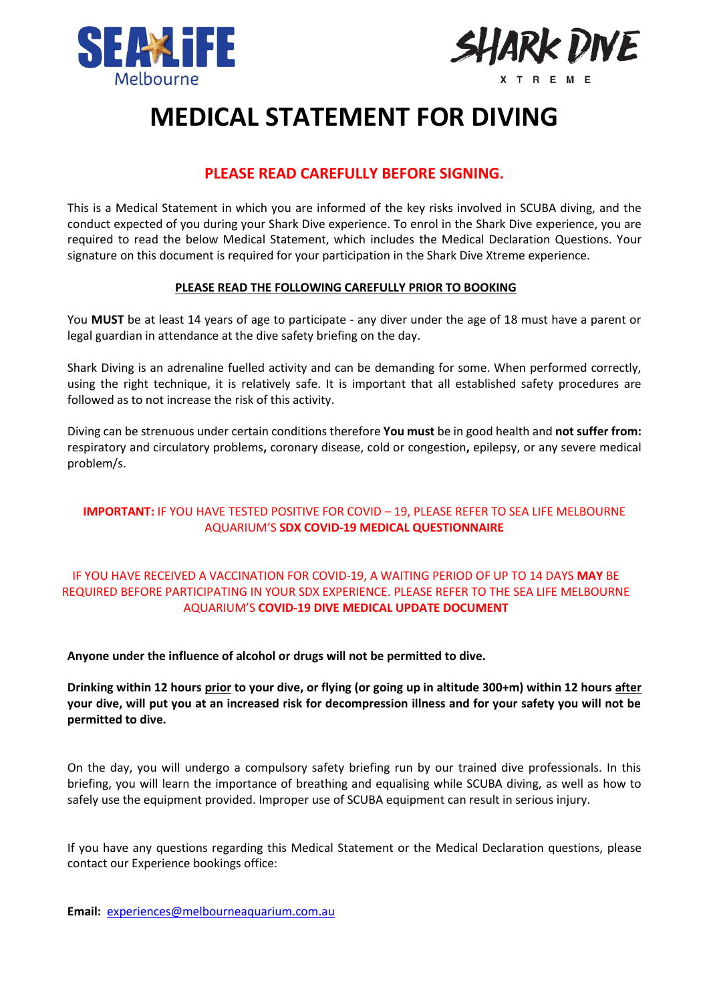



## **MEDICAL STATEMENT FOR DIVING**

### **PLEASE READ CAREFULLY BEFORE SIGNING.**

This is a Medical Statement in which you are informed of the key risks involved in SCUBA diving, and the conduct expected of you during your Shark Dive experience. To enrol in the Shark Dive experience, you are required to read the below Medical Statement, which includes the Medical Declaration Questions. Your signature on this document is required for your participation in the Shark Dive Xtreme experience.

#### **PLEASE READ THE FOLLOWING CAREFULLY PRIOR TO BOOKING**

You **MUST** be at least 14 years of age to participate - any diver under the age of 18 must have a parent or legal guardian in attendance at the dive safety briefing on the day.

Shark Diving is an adrenaline fuelled activity and can be demanding for some. When performed correctly, using the right technique, it is relatively safe. It is important that all established safety procedures are followed as to not increase the risk of this activity.

Diving can be strenuous under certain conditions therefore **You must** be in good health and **not suffer from:** respiratory and circulatory problems**,** coronary disease, cold or congestion**,** epilepsy, or any severe medical problem/s.

#### **IMPORTANT:** IF YOU HAVE TESTED POSITIVE FOR COVID – 19, PLEASE REFER TO SEA LIFE MELBOURNE AQUARIUM'S **SDX COVID-19 MEDICAL QUESTIONNAIRE**

#### IF YOU HAVE RECEIVED A VACCINATION FOR COVID-19, A WAITING PERIOD OF UP TO 14 DAYS **MAY** BE REQUIRED BEFORE PARTICIPATING IN YOUR SDX EXPERIENCE. PLEASE REFER TO THE SEA LIFE MELBOURNE AQUARIUM'S **COVID-19 DIVE MEDICAL UPDATE DOCUMENT**

**Anyone under the influence of alcohol or drugs will not be permitted to dive.**

**Drinking within 12 hours prior to your dive, or flying (or going up in altitude 300+m) within 12 hours after your dive, will put you at an increased risk for decompression illness and for your safety you will not be permitted to dive.** 

On the day, you will undergo a compulsory safety briefing run by our trained dive professionals. In this briefing, you will learn the importance of breathing and equalising while SCUBA diving, as well as how to safely use the equipment provided. Improper use of SCUBA equipment can result in serious injury.

If you have any questions regarding this Medical Statement or the Medical Declaration questions, please contact our Experience bookings office:

**Email:** [experiences@melbourneaquarium.com.au](mailto:experiences@melbourneaquarium.com.au)